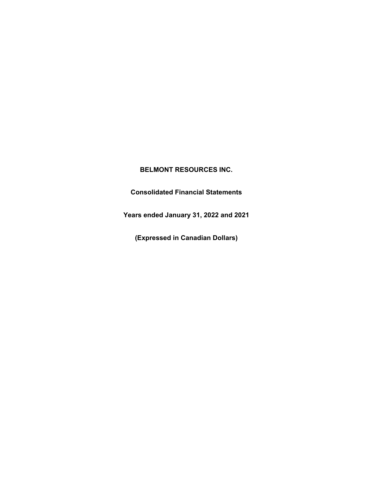**Consolidated Financial Statements** 

**Years ended January 31, 2022 and 2021** 

**(Expressed in Canadian Dollars)**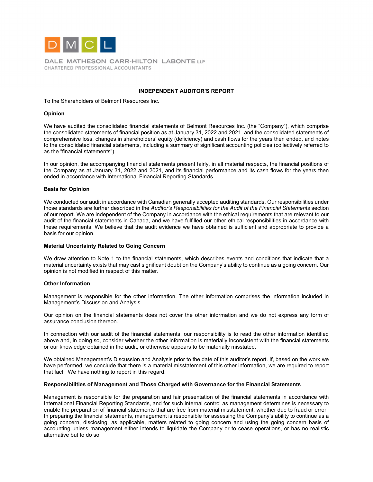

DALE MATHESON CARR-HILTON LABONTE LLP CHARTERED PROFESSIONAL ACCOUNTANTS

#### **INDEPENDENT AUDITOR'S REPORT**

To the Shareholders of Belmont Resources Inc.

#### **Opinion**

We have audited the consolidated financial statements of Belmont Resources Inc. (the "Company"), which comprise the consolidated statements of financial position as at January 31, 2022 and 2021, and the consolidated statements of comprehensive loss, changes in shareholders' equity (deficiency) and cash flows for the years then ended, and notes to the consolidated financial statements, including a summary of significant accounting policies (collectively referred to as the "financial statements").

In our opinion, the accompanying financial statements present fairly, in all material respects, the financial positions of the Company as at January 31, 2022 and 2021, and its financial performance and its cash flows for the years then ended in accordance with International Financial Reporting Standards.

#### **Basis for Opinion**

We conducted our audit in accordance with Canadian generally accepted auditing standards. Our responsibilities under those standards are further described in the *Auditor's Responsibilities for the Audit of the Financial Statements* section of our report. We are independent of the Company in accordance with the ethical requirements that are relevant to our audit of the financial statements in Canada, and we have fulfilled our other ethical responsibilities in accordance with these requirements. We believe that the audit evidence we have obtained is sufficient and appropriate to provide a basis for our opinion.

#### **Material Uncertainty Related to Going Concern**

We draw attention to Note 1 to the financial statements, which describes events and conditions that indicate that a material uncertainty exists that may cast significant doubt on the Company's ability to continue as a going concern. Our opinion is not modified in respect of this matter.

#### **Other Information**

Management is responsible for the other information. The other information comprises the information included in Management's Discussion and Analysis.

Our opinion on the financial statements does not cover the other information and we do not express any form of assurance conclusion thereon.

In connection with our audit of the financial statements, our responsibility is to read the other information identified above and, in doing so, consider whether the other information is materially inconsistent with the financial statements or our knowledge obtained in the audit, or otherwise appears to be materially misstated.

We obtained Management's Discussion and Analysis prior to the date of this auditor's report. If, based on the work we have performed, we conclude that there is a material misstatement of this other information, we are required to report that fact. We have nothing to report in this regard.

#### **Responsibilities of Management and Those Charged with Governance for the Financial Statements**

Management is responsible for the preparation and fair presentation of the financial statements in accordance with International Financial Reporting Standards, and for such internal control as management determines is necessary to enable the preparation of financial statements that are free from material misstatement, whether due to fraud or error. In preparing the financial statements, management is responsible for assessing the Company's ability to continue as a going concern, disclosing, as applicable, matters related to going concern and using the going concern basis of accounting unless management either intends to liquidate the Company or to cease operations, or has no realistic alternative but to do so.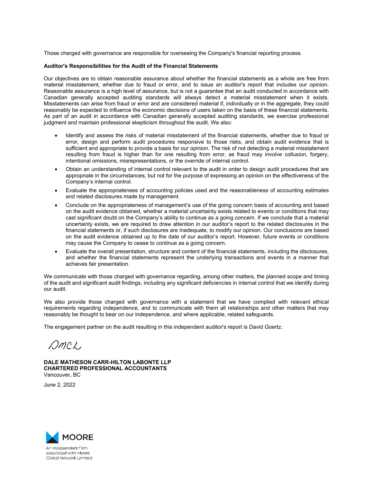Those charged with governance are responsible for overseeing the Company's financial reporting process.

#### **Auditor's Responsibilities for the Audit of the Financial Statements**

Our objectives are to obtain reasonable assurance about whether the financial statements as a whole are free from material misstatement, whether due to fraud or error, and to issue an auditor's report that includes our opinion. Reasonable assurance is a high level of assurance, but is not a guarantee that an audit conducted in accordance with Canadian generally accepted auditing standards will always detect a material misstatement when it exists. Misstatements can arise from fraud or error and are considered material if, individually or in the aggregate, they could reasonably be expected to influence the economic decisions of users taken on the basis of these financial statements. As part of an audit in accordance with Canadian generally accepted auditing standards, we exercise professional judgment and maintain professional skepticism throughout the audit. We also:

- Identify and assess the risks of material misstatement of the financial statements, whether due to fraud or error, design and perform audit procedures responsive to those risks, and obtain audit evidence that is sufficient and appropriate to provide a basis for our opinion. The risk of not detecting a material misstatement resulting from fraud is higher than for one resulting from error, as fraud may involve collusion, forgery, intentional omissions, misrepresentations, or the override of internal control.
- Obtain an understanding of internal control relevant to the audit in order to design audit procedures that are appropriate in the circumstances, but not for the purpose of expressing an opinion on the effectiveness of the Company's internal control.
- Evaluate the appropriateness of accounting policies used and the reasonableness of accounting estimates and related disclosures made by management.
- Conclude on the appropriateness of management's use of the going concern basis of accounting and based on the audit evidence obtained, whether a material uncertainty exists related to events or conditions that may cast significant doubt on the Company's ability to continue as a going concern. If we conclude that a material uncertainty exists, we are required to draw attention in our auditor's report to the related disclosures in the financial statements or, if such disclosures are inadequate, to modify our opinion. Our conclusions are based on the audit evidence obtained up to the date of our auditor's report. However, future events or conditions may cause the Company to cease to continue as a going concern.
- Evaluate the overall presentation, structure and content of the financial statements, including the disclosures, and whether the financial statements represent the underlying transactions and events in a manner that achieves fair presentation.

We communicate with those charged with governance regarding, among other matters, the planned scope and timing of the audit and significant audit findings, including any significant deficiencies in internal control that we identify during our audit.

We also provide those charged with governance with a statement that we have complied with relevant ethical requirements regarding independence, and to communicate with them all relationships and other matters that may reasonably be thought to bear on our independence, and where applicable, related safeguards.

The engagement partner on the audit resulting in this independent auditor's report is David Goertz.

 $DmOL$ 

**DALE MATHESON CARR-HILTON LABONTE LLP CHARTERED PROFESSIONAL ACCOUNTANTS**  Vancouver, BC

June 2, 2022

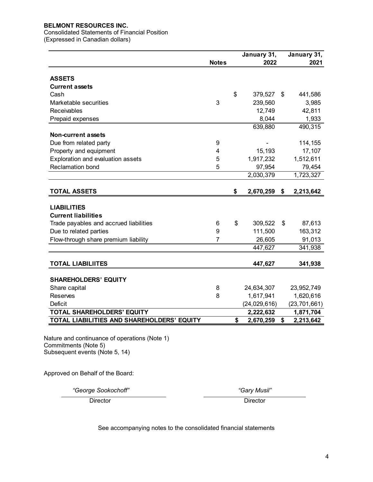Consolidated Statements of Financial Position

(Expressed in Canadian dollars)

|                                            |              | January 31,     | January 31,     |
|--------------------------------------------|--------------|-----------------|-----------------|
|                                            | <b>Notes</b> | 2022            | 2021            |
|                                            |              |                 |                 |
| <b>ASSETS</b>                              |              |                 |                 |
| <b>Current assets</b>                      |              |                 |                 |
| Cash                                       |              | \$<br>379,527   | \$<br>441,586   |
| Marketable securities                      | 3            | 239,560         | 3,985           |
| <b>Receivables</b>                         |              | 12,749          | 42,811          |
| Prepaid expenses                           |              | 8,044           | 1,933           |
|                                            |              | 639,880         | 490,315         |
| <b>Non-current assets</b>                  |              |                 |                 |
| Due from related party                     | 9            |                 | 114,155         |
| Property and equipment                     | 4            | 15,193          | 17,107          |
| Exploration and evaluation assets          | 5            | 1,917,232       | 1,512,611       |
| <b>Reclamation bond</b>                    | 5            | 97,954          | 79,454          |
|                                            |              | 2,030,379       | 1,723,327       |
|                                            |              |                 |                 |
| <b>TOTAL ASSETS</b>                        |              | \$<br>2,670,259 | \$<br>2,213,642 |
|                                            |              |                 |                 |
| <b>LIABILITIES</b>                         |              |                 |                 |
| <b>Current liabilities</b>                 |              |                 |                 |
| Trade payables and accrued liabilities     | 6            | \$<br>309,522   | \$<br>87,613    |
| Due to related parties                     | 9            | 111,500         | 163,312         |
| Flow-through share premium liability       | 7            | 26,605          | 91,013          |
|                                            |              | 447,627         | 341,938         |
|                                            |              |                 |                 |
| <b>TOTAL LIABILIITES</b>                   |              | 447,627         | 341,938         |
|                                            |              |                 |                 |
| <b>SHAREHOLDERS' EQUITY</b>                |              |                 |                 |
| Share capital                              | 8            | 24,634,307      | 23,952,749      |
| Reserves                                   | 8            | 1,617,941       | 1,620,616       |
| <b>Deficit</b>                             |              | (24, 029, 616)  | (23, 701, 661)  |
| <b>TOTAL SHAREHOLDERS' EQUITY</b>          |              | 2,222,632       | 1,871,704       |
| TOTAL LIABILITIES AND SHAREHOLDERS' EQUITY |              | \$<br>2,670,259 | \$<br>2,213,642 |

Nature and continuance of operations (Note 1) Commitments (Note 5) Subsequent events (Note 5, 14)

Approved on Behalf of the Board:

*"George Sookochoff" "Gary Musil"* 

Director Director Director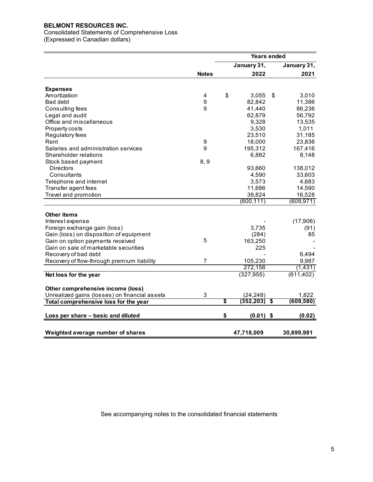Consolidated Statements of Comprehensive Loss

(Expressed in Canadian dollars)

|                                               |                | <b>Years ended</b> |             |    |             |  |  |  |
|-----------------------------------------------|----------------|--------------------|-------------|----|-------------|--|--|--|
|                                               |                |                    | January 31, |    | January 31, |  |  |  |
|                                               | <b>Notes</b>   |                    | 2022        |    | 2021        |  |  |  |
|                                               |                |                    |             |    |             |  |  |  |
| <b>Expenses</b><br>Amortization               | 4              | \$                 | 3,055       | \$ | 3,010       |  |  |  |
| Bad debt                                      | 9              |                    | 82,842      |    | 11,386      |  |  |  |
| Consulting fees                               | 9              |                    | 41,440      |    | 86,236      |  |  |  |
| Legal and audit                               |                |                    | 62,879      |    | 56,792      |  |  |  |
| Office and miscellaneous                      |                |                    | 9,328       |    | 13,535      |  |  |  |
| Property costs                                |                |                    | 3,530       |    | 1,011       |  |  |  |
| Regulatory fees                               |                |                    | 23,510      |    | 31,185      |  |  |  |
| Rent                                          | 9              |                    | 18,000      |    | 23,836      |  |  |  |
| Salaries and administration services          | 9              |                    | 195,312     |    | 167,416     |  |  |  |
| Shareholder relations                         |                |                    | 6,882       |    | 8,148       |  |  |  |
| Stock based payment                           | 8, 9           |                    |             |    |             |  |  |  |
| <b>Directors</b>                              |                |                    | 93,660      |    | 138,012     |  |  |  |
| Consultants                                   |                |                    | 4,590       |    | 33,603      |  |  |  |
| Telephone and internet                        |                |                    | 3,573       |    | 4,683       |  |  |  |
| Transfer agent fees                           |                |                    | 11,686      |    | 14,590      |  |  |  |
| Travel and promotion                          |                |                    | 39,824      |    | 16,528      |  |  |  |
|                                               |                |                    | (600, 111)  |    | (609, 971)  |  |  |  |
|                                               |                |                    |             |    |             |  |  |  |
| <b>Other items</b><br>Interest expense        |                |                    |             |    | (17,906)    |  |  |  |
| Foreign exchange gain (loss)                  |                |                    | 3,735       |    | (91)        |  |  |  |
| Gain (loss) on disposition of equipment       |                |                    | (284)       |    | 85          |  |  |  |
| Gain on option payments received              | 5              |                    | 163,250     |    |             |  |  |  |
| Gain on sale of marketable securities         |                |                    | 225         |    |             |  |  |  |
| Recovery of bad debt                          |                |                    |             |    | 6,494       |  |  |  |
| Recovery of flow-through premium liability    | $\overline{7}$ |                    | 105,230     |    | 9,987       |  |  |  |
|                                               |                |                    | 272,156     |    | (1, 431)    |  |  |  |
| Net loss for the year                         |                |                    | (327, 955)  |    | (611, 402)  |  |  |  |
|                                               |                |                    |             |    |             |  |  |  |
| Other comprehensive income (loss)             |                |                    |             |    |             |  |  |  |
| Unrealized gains (losses) on financial assets | 3              |                    | (24, 248)   |    | 1,822       |  |  |  |
| Total comprehensive loss for the year         |                | \$                 | (352, 203)  | S. | (609, 580)  |  |  |  |
| Loss per share - basic and diluted            |                | \$                 | $(0.01)$ \$ |    | (0.02)      |  |  |  |
|                                               |                |                    |             |    |             |  |  |  |
| Weighted average number of shares             |                |                    | 47,718,009  |    | 30,899,981  |  |  |  |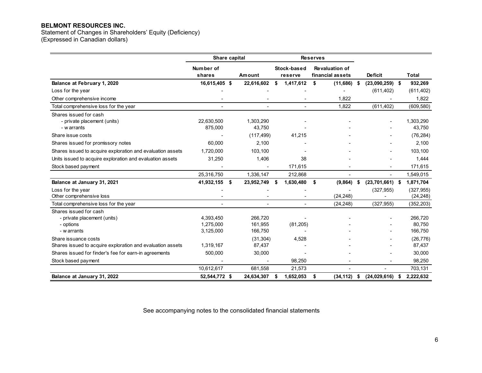Statement of Changes in Shareholders' Equity (Deficiency) (Expressed in Canadian dollars)

|                                                                                   |                                     | Share capital<br><b>Reserves</b> |                               |    |                        |    |                                           |                         |                              |
|-----------------------------------------------------------------------------------|-------------------------------------|----------------------------------|-------------------------------|----|------------------------|----|-------------------------------------------|-------------------------|------------------------------|
|                                                                                   | Number of<br>shares                 |                                  | Amount                        |    | Stock-based<br>reserve |    | <b>Revaluation of</b><br>financial assets | <b>Deficit</b>          | <b>Total</b>                 |
| Balance at February 1, 2020                                                       | 16,615,405 \$                       |                                  | 22,616,602                    | \$ | 1,417,612              | \$ | (11,686)                                  | \$<br>$(23,090,259)$ \$ | 932,269                      |
| Loss for the year                                                                 |                                     |                                  |                               |    |                        |    |                                           | (611, 402)              | (611, 402)                   |
| Other comprehensive income                                                        |                                     |                                  |                               |    |                        |    | 1.822                                     |                         | 1,822                        |
| Total comprehensive loss for the year                                             |                                     |                                  |                               |    | $\sim$                 |    | 1.822                                     | (611.402)               | (609, 580)                   |
| Shares issued for cash<br>- private placement (units)                             | 22,630,500                          |                                  | 1,303,290                     |    |                        |    |                                           |                         | 1,303,290                    |
| - w arrants                                                                       | 875,000                             |                                  | 43,750                        |    |                        |    |                                           |                         | 43,750                       |
| Share issue costs                                                                 |                                     |                                  | (117, 499)                    |    | 41,215                 |    |                                           |                         | (76, 284)                    |
| Shares issued for promissory notes                                                | 60,000                              |                                  | 2,100                         |    |                        |    |                                           |                         | 2,100                        |
| Shares issued to acquire exploration and evaluation assets                        | 1,720,000                           |                                  | 103,100                       |    |                        |    |                                           |                         | 103,100                      |
| Units issued to acquire exploration and evaluation assets                         | 31,250                              |                                  | 1,406                         |    | 38                     |    |                                           |                         | 1,444                        |
| Stock based payment                                                               |                                     |                                  |                               |    | 171,615                |    |                                           |                         | 171,615                      |
|                                                                                   | 25,316,750                          |                                  | 1,336,147                     |    | 212,868                |    |                                           |                         | 1,549,015                    |
| Balance at January 31, 2021                                                       | 41,932,155                          | \$                               | 23,952,749                    | \$ | 1,630,480              | \$ | (9,864)                                   | \$<br>$(23,701,661)$ \$ | 1,871,704                    |
| Loss for the year<br>Other comprehensive loss                                     |                                     |                                  |                               |    |                        |    | (24, 248)                                 | (327, 955)              | (327, 955)<br>(24, 248)      |
| Total comprehensive loss for the year                                             |                                     |                                  |                               |    |                        |    | (24, 248)                                 | (327, 955)              | (352, 203)                   |
| Shares issued for cash<br>- private placement (units)<br>- options<br>- w arrants | 4.393.450<br>1.275.000<br>3,125,000 |                                  | 266.720<br>161,955<br>166,750 |    | (81, 205)              |    |                                           |                         | 266.720<br>80,750<br>166,750 |
| Share issuance costs                                                              |                                     |                                  | (31, 304)                     |    | 4,528                  |    |                                           |                         | (26, 776)                    |
| Shares issued to acquire exploration and evaluation assets                        | 1,319,167                           |                                  | 87,437                        |    |                        |    |                                           |                         | 87,437                       |
| Shares issued for finder's fee for earn-in agreements                             | 500,000                             |                                  | 30,000                        |    |                        |    |                                           |                         | 30,000                       |
| Stock based payment                                                               |                                     |                                  |                               |    | 98,250                 |    |                                           |                         | 98,250                       |
|                                                                                   | 10,612,617                          |                                  | 681,558                       |    | 21,573                 |    |                                           |                         | 703,131                      |
| Balance at January 31, 2022                                                       | 52,544,772 \$                       |                                  | 24,634,307                    | S  | 1,652,053              | \$ | (34, 112)                                 | \$<br>(24,029,616)      | \$<br>2,222,632              |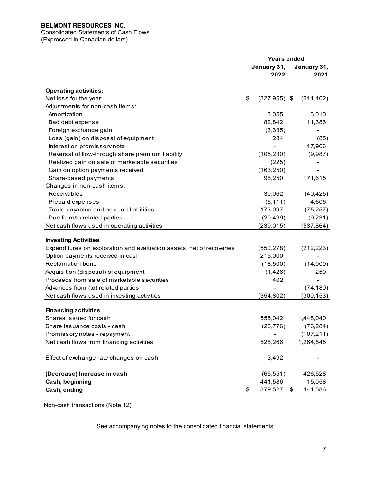Consolidated Statements of Cash Flows

(Expressed in Canadian dollars)

|                                                                      | <b>Years ended</b> |                 |    |             |  |
|----------------------------------------------------------------------|--------------------|-----------------|----|-------------|--|
|                                                                      |                    | January 31,     |    | January 31, |  |
|                                                                      |                    | 2022            |    | 2021        |  |
| <b>Operating activities:</b>                                         |                    |                 |    |             |  |
| Net loss for the year:                                               | \$                 | $(327, 955)$ \$ |    | (611, 402)  |  |
| Adjustments for non-cash items:                                      |                    |                 |    |             |  |
| Amortization                                                         |                    | 3,055           |    | 3,010       |  |
| Bad debt expense                                                     |                    | 82,842          |    | 11,386      |  |
| Foreign exchange gain                                                |                    | (3, 335)        |    |             |  |
| Loss (gain) on disposal of equipment                                 |                    | 284             |    | (85)        |  |
| Interest on promissory note                                          |                    |                 |    | 17,906      |  |
| Reversal of flow-through share premium liability                     |                    | (105, 230)      |    | (9,987)     |  |
| Realized gain on sale of marketable securities                       |                    | (225)           |    |             |  |
| Gain on option payments received                                     |                    | (163, 250)      |    |             |  |
| Share-based payments                                                 |                    | 98,250          |    | 171,615     |  |
| Changes in non-cash items:                                           |                    |                 |    |             |  |
| Receivables                                                          |                    | 30,062          |    | (40, 425)   |  |
| Prepaid expenses                                                     |                    | (6, 111)        |    | 4,606       |  |
| Trade payables and accrued liabilities                               |                    | 173,097         |    | (75, 257)   |  |
| Due from/to related parties                                          |                    | (20, 499)       |    | (9,231)     |  |
| Net cash flows used in operating activities                          |                    | (239, 015)      |    | (537, 864)  |  |
|                                                                      |                    |                 |    |             |  |
| <b>Investing Activities</b>                                          |                    |                 |    |             |  |
| Expenditures on exploration and evaluation assets, net of recoveries |                    | (550, 278)      |    | (212, 223)  |  |
| Option payments received in cash                                     |                    | 215,000         |    |             |  |
| <b>Reclamation bond</b>                                              |                    | (18,500)        |    | (14,000)    |  |
| Acquisition (disposal) of equipment                                  |                    | (1,426)         |    | 250         |  |
| Proceeds from sale of marketable securities                          |                    | 402             |    |             |  |
| Advances from (to) related parties                                   |                    |                 |    | (74, 180)   |  |
| Net cash flows used in investing activities                          |                    | (354, 802)      |    | (300, 153)  |  |
| <b>Financing activities</b>                                          |                    |                 |    |             |  |
| Shares issued for cash                                               |                    | 555,042         |    | 1,448,040   |  |
| Share issuance costs - cash                                          |                    | (26, 776)       |    | (76, 284)   |  |
| Promissory notes - repayment                                         |                    |                 |    | (107, 211)  |  |
| Net cash flows from financing activities                             |                    | 528,266         |    | 1,264,545   |  |
|                                                                      |                    |                 |    |             |  |
| Effect of exchange rate changes on cash                              |                    | 3,492           |    |             |  |
| (Decrease) Increase in cash                                          |                    | (65, 551)       |    | 426,528     |  |
| Cash, beginning                                                      |                    | 441,586         |    | 15,058      |  |
| Cash, ending                                                         | \$                 | 379,527         | \$ | 441,586     |  |

Non-cash transactions (Note 12)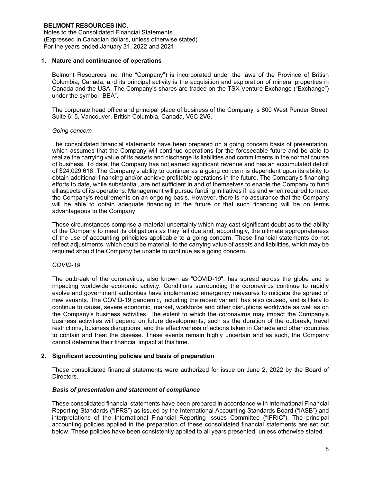### **1. Nature and continuance of operations**

Belmont Resources Inc. (the "Company") is incorporated under the laws of the Province of British Columbia, Canada, and its principal activity is the acquisition and exploration of mineral properties in Canada and the USA. The Company's shares are traded on the TSX Venture Exchange ("Exchange") under the symbol "BEA".

The corporate head office and principal place of business of the Company is 800 West Pender Street, Suite 615, Vancouver, British Columbia, Canada, V6C 2V6.

#### *Going concern*

The consolidated financial statements have been prepared on a going concern basis of presentation, which assumes that the Company will continue operations for the foreseeable future and be able to realize the carrying value of its assets and discharge its liabilities and commitments in the normal course of business. To date, the Company has not earned significant revenue and has an accumulated deficit of \$24,029,616. The Company's ability to continue as a going concern is dependent upon its ability to obtain additional financing and/or achieve profitable operations in the future. The Company's financing efforts to date, while substantial, are not sufficient in and of themselves to enable the Company to fund all aspects of its operations. Management will pursue funding initiatives if, as and when required to meet the Company's requirements on an ongoing basis. However, there is no assurance that the Company will be able to obtain adequate financing in the future or that such financing will be on terms advantageous to the Company.

These circumstances comprise a material uncertainty which may cast significant doubt as to the ability of the Company to meet its obligations as they fall due and, accordingly, the ultimate appropriateness of the use of accounting principles applicable to a going concern. These financial statements do not reflect adjustments, which could be material, to the carrying value of assets and liabilities, which may be required should the Company be unable to continue as a going concern.

#### *COVID-19*

The outbreak of the coronavirus, also known as "COVID-19", has spread across the globe and is impacting worldwide economic activity. Conditions surrounding the coronavirus continue to rapidly evolve and government authorities have implemented emergency measures to mitigate the spread of new variants. The COVID-19 pandemic, including the recent variant, has also caused, and is likely to continue to cause, severe economic, market, workforce and other disruptions worldwide as well as on the Company's business activities. The extent to which the coronavirus may impact the Company's business activities will depend on future developments, such as the duration of the outbreak, travel restrictions, business disruptions, and the effectiveness of actions taken in Canada and other countries to contain and treat the disease. These events remain highly uncertain and as such, the Company cannot determine their financial impact at this time.

### **2. Significant accounting policies and basis of preparation**

These consolidated financial statements were authorized for issue on June 2, 2022 by the Board of **Directors** 

### *Basis of presentation and statement of compliance*

These consolidated financial statements have been prepared in accordance with International Financial Reporting Standards ("IFRS") as issued by the International Accounting Standards Board ("IASB") and interpretations of the International Financial Reporting Issues Committee ("IFRIC"). The principal accounting policies applied in the preparation of these consolidated financial statements are set out below. These policies have been consistently applied to all years presented, unless otherwise stated.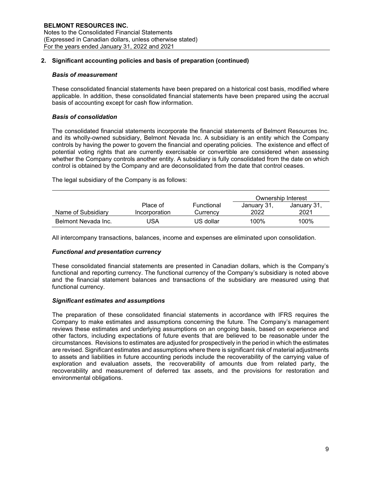#### *Basis of measurement*

These consolidated financial statements have been prepared on a historical cost basis, modified where applicable. In addition, these consolidated financial statements have been prepared using the accrual basis of accounting except for cash flow information.

### *Basis of consolidation*

The consolidated financial statements incorporate the financial statements of Belmont Resources Inc. and its wholly-owned subsidiary, Belmont Nevada Inc. A subsidiary is an entity which the Company controls by having the power to govern the financial and operating policies. The existence and effect of potential voting rights that are currently exercisable or convertible are considered when assessing whether the Company controls another entity. A subsidiary is fully consolidated from the date on which control is obtained by the Company and are deconsolidated from the date that control ceases.

The legal subsidiary of the Company is as follows:

|                     |               |            |             | Ownership Interest |
|---------------------|---------------|------------|-------------|--------------------|
|                     | Place of      | Functional | January 31, | January 31,        |
| Name of Subsidiary  | Incorporation | Currency   | 2022        | 2021               |
| Belmont Nevada Inc. | USA           | US dollar  | 100%        | 100%               |

All intercompany transactions, balances, income and expenses are eliminated upon consolidation.

### *Functional and presentation currency*

These consolidated financial statements are presented in Canadian dollars, which is the Company's functional and reporting currency. The functional currency of the Company's subsidiary is noted above and the financial statement balances and transactions of the subsidiary are measured using that functional currency.

### *Significant estimates and assumptions*

The preparation of these consolidated financial statements in accordance with IFRS requires the Company to make estimates and assumptions concerning the future. The Company's management reviews these estimates and underlying assumptions on an ongoing basis, based on experience and other factors, including expectations of future events that are believed to be reasonable under the circumstances. Revisions to estimates are adjusted for prospectively in the period in which the estimates are revised. Significant estimates and assumptions where there is significant risk of material adjustments to assets and liabilities in future accounting periods include the recoverability of the carrying value of exploration and evaluation assets, the recoverability of amounts due from related party, the recoverability and measurement of deferred tax assets, and the provisions for restoration and environmental obligations.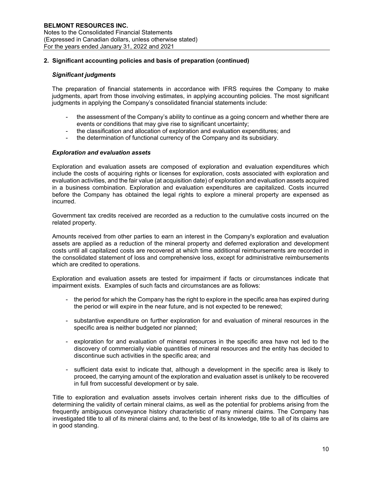### *Significant judgments*

The preparation of financial statements in accordance with IFRS requires the Company to make judgments, apart from those involving estimates, in applying accounting policies. The most significant judgments in applying the Company's consolidated financial statements include:

- the assessment of the Company's ability to continue as a going concern and whether there are events or conditions that may give rise to significant uncertainty;
- the classification and allocation of exploration and evaluation expenditures; and
- the determination of functional currency of the Company and its subsidiary.

### *Exploration and evaluation assets*

Exploration and evaluation assets are composed of exploration and evaluation expenditures which include the costs of acquiring rights or licenses for exploration, costs associated with exploration and evaluation activities, and the fair value (at acquisition date) of exploration and evaluation assets acquired in a business combination. Exploration and evaluation expenditures are capitalized. Costs incurred before the Company has obtained the legal rights to explore a mineral property are expensed as incurred.

Government tax credits received are recorded as a reduction to the cumulative costs incurred on the related property.

Amounts received from other parties to earn an interest in the Company's exploration and evaluation assets are applied as a reduction of the mineral property and deferred exploration and development costs until all capitalized costs are recovered at which time additional reimbursements are recorded in the consolidated statement of loss and comprehensive loss, except for administrative reimbursements which are credited to operations.

Exploration and evaluation assets are tested for impairment if facts or circumstances indicate that impairment exists. Examples of such facts and circumstances are as follows:

- the period for which the Company has the right to explore in the specific area has expired during the period or will expire in the near future, and is not expected to be renewed;
- substantive expenditure on further exploration for and evaluation of mineral resources in the specific area is neither budgeted nor planned;
- exploration for and evaluation of mineral resources in the specific area have not led to the discovery of commercially viable quantities of mineral resources and the entity has decided to discontinue such activities in the specific area; and
- sufficient data exist to indicate that, although a development in the specific area is likely to proceed, the carrying amount of the exploration and evaluation asset is unlikely to be recovered in full from successful development or by sale.

Title to exploration and evaluation assets involves certain inherent risks due to the difficulties of determining the validity of certain mineral claims, as well as the potential for problems arising from the frequently ambiguous conveyance history characteristic of many mineral claims. The Company has investigated title to all of its mineral claims and, to the best of its knowledge, title to all of its claims are in good standing.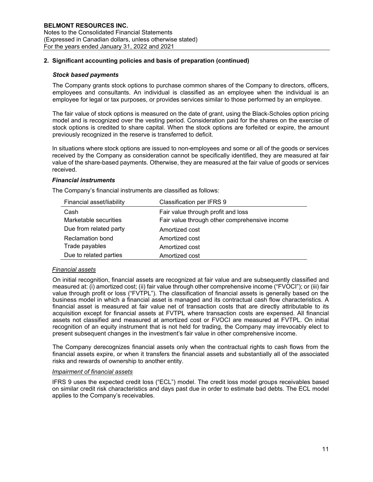### *Stock based payments*

The Company grants stock options to purchase common shares of the Company to directors, officers, employees and consultants. An individual is classified as an employee when the individual is an employee for legal or tax purposes, or provides services similar to those performed by an employee.

The fair value of stock options is measured on the date of grant, using the Black-Scholes option pricing model and is recognized over the vesting period. Consideration paid for the shares on the exercise of stock options is credited to share capital. When the stock options are forfeited or expire, the amount previously recognized in the reserve is transferred to deficit.

In situations where stock options are issued to non-employees and some or all of the goods or services received by the Company as consideration cannot be specifically identified, they are measured at fair value of the share-based payments. Otherwise, they are measured at the fair value of goods or services received.

### *Financial instruments*

The Company's financial instruments are classified as follows:

| Financial asset/liability | Classification per IFRS 9                     |
|---------------------------|-----------------------------------------------|
| Cash                      | Fair value through profit and loss            |
| Marketable securities     | Fair value through other comprehensive income |
| Due from related party    | Amortized cost                                |
| Reclamation bond          | Amortized cost                                |
| Trade payables            | Amortized cost                                |
| Due to related parties    | Amortized cost                                |

# *Financial assets*

On initial recognition, financial assets are recognized at fair value and are subsequently classified and measured at: (i) amortized cost; (ii) fair value through other comprehensive income ("FVOCI"); or (iii) fair value through profit or loss ("FVTPL"). The classification of financial assets is generally based on the business model in which a financial asset is managed and its contractual cash flow characteristics. A financial asset is measured at fair value net of transaction costs that are directly attributable to its acquisition except for financial assets at FVTPL where transaction costs are expensed. All financial assets not classified and measured at amortized cost or FVOCI are measured at FVTPL. On initial recognition of an equity instrument that is not held for trading, the Company may irrevocably elect to present subsequent changes in the investment's fair value in other comprehensive income.

The Company derecognizes financial assets only when the contractual rights to cash flows from the financial assets expire, or when it transfers the financial assets and substantially all of the associated risks and rewards of ownership to another entity.

### *Impairment of financial assets*

IFRS 9 uses the expected credit loss ("ECL") model. The credit loss model groups receivables based on similar credit risk characteristics and days past due in order to estimate bad debts. The ECL model applies to the Company's receivables.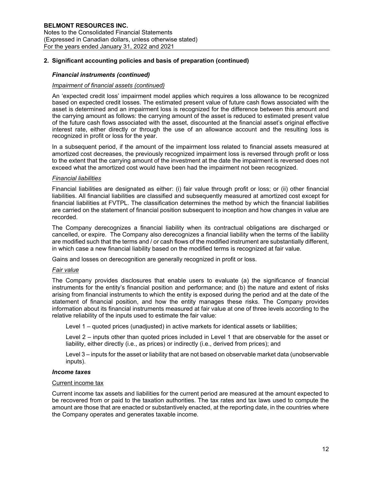### *Financial instruments (continued)*

### *Impairment of financial assets (continued)*

An 'expected credit loss' impairment model applies which requires a loss allowance to be recognized based on expected credit losses. The estimated present value of future cash flows associated with the asset is determined and an impairment loss is recognized for the difference between this amount and the carrying amount as follows: the carrying amount of the asset is reduced to estimated present value of the future cash flows associated with the asset, discounted at the financial asset's original effective interest rate, either directly or through the use of an allowance account and the resulting loss is recognized in profit or loss for the year.

In a subsequent period, if the amount of the impairment loss related to financial assets measured at amortized cost decreases, the previously recognized impairment loss is reversed through profit or loss to the extent that the carrying amount of the investment at the date the impairment is reversed does not exceed what the amortized cost would have been had the impairment not been recognized.

### *Financial liabilities*

Financial liabilities are designated as either: (i) fair value through profit or loss; or (ii) other financial liabilities. All financial liabilities are classified and subsequently measured at amortized cost except for financial liabilities at FVTPL. The classification determines the method by which the financial liabilities are carried on the statement of financial position subsequent to inception and how changes in value are recorded.

The Company derecognizes a financial liability when its contractual obligations are discharged or cancelled, or expire. The Company also derecognizes a financial liability when the terms of the liability are modified such that the terms and / or cash flows of the modified instrument are substantially different, in which case a new financial liability based on the modified terms is recognized at fair value.

Gains and losses on derecognition are generally recognized in profit or loss.

### *Fair value*

The Company provides disclosures that enable users to evaluate (a) the significance of financial instruments for the entity's financial position and performance; and (b) the nature and extent of risks arising from financial instruments to which the entity is exposed during the period and at the date of the statement of financial position, and how the entity manages these risks. The Company provides information about its financial instruments measured at fair value at one of three levels according to the relative reliability of the inputs used to estimate the fair value:

Level 1 – quoted prices (unadjusted) in active markets for identical assets or liabilities;

Level 2 – inputs other than quoted prices included in Level 1 that are observable for the asset or liability, either directly (i.e., as prices) or indirectly (i.e., derived from prices); and

Level 3 – inputs for the asset or liability that are not based on observable market data (unobservable inputs).

### *Income taxes*

### Current income tax

Current income tax assets and liabilities for the current period are measured at the amount expected to be recovered from or paid to the taxation authorities. The tax rates and tax laws used to compute the amount are those that are enacted or substantively enacted, at the reporting date, in the countries where the Company operates and generates taxable income.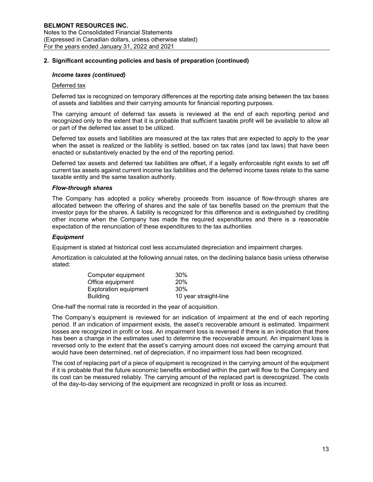### *Income taxes (continued)*

#### Deferred tax

Deferred tax is recognized on temporary differences at the reporting date arising between the tax bases of assets and liabilities and their carrying amounts for financial reporting purposes.

The carrying amount of deferred tax assets is reviewed at the end of each reporting period and recognized only to the extent that it is probable that sufficient taxable profit will be available to allow all or part of the deferred tax asset to be utilized.

Deferred tax assets and liabilities are measured at the tax rates that are expected to apply to the year when the asset is realized or the liability is settled, based on tax rates (and tax laws) that have been enacted or substantively enacted by the end of the reporting period.

Deferred tax assets and deferred tax liabilities are offset, if a legally enforceable right exists to set off current tax assets against current income tax liabilities and the deferred income taxes relate to the same taxable entity and the same taxation authority.

#### *Flow-through shares*

The Company has adopted a policy whereby proceeds from issuance of flow-through shares are allocated between the offering of shares and the sale of tax benefits based on the premium that the investor pays for the shares. A liability is recognized for this difference and is extinguished by crediting other income when the Company has made the required expenditures and there is a reasonable expectation of the renunciation of these expenditures to the tax authorities

### *Equipment*

Equipment is stated at historical cost less accumulated depreciation and impairment charges.

Amortization is calculated at the following annual rates, on the declining balance basis unless otherwise stated:

| Computer equipment    | 30%                   |
|-----------------------|-----------------------|
| Office equipment      | <b>20%</b>            |
| Exploration equipment | 30%                   |
| <b>Building</b>       | 10 year straight-line |

One-half the normal rate is recorded in the year of acquisition.

The Company's equipment is reviewed for an indication of impairment at the end of each reporting period. If an indication of impairment exists, the asset's recoverable amount is estimated. Impairment losses are recognized in profit or loss. An impairment loss is reversed if there is an indication that there has been a change in the estimates used to determine the recoverable amount. An impairment loss is reversed only to the extent that the asset's carrying amount does not exceed the carrying amount that would have been determined, net of depreciation, if no impairment loss had been recognized.

The cost of replacing part of a piece of equipment is recognized in the carrying amount of the equipment if it is probable that the future economic benefits embodied within the part will flow to the Company and its cost can be measured reliably. The carrying amount of the replaced part is derecognized. The costs of the day-to-day servicing of the equipment are recognized in profit or loss as incurred.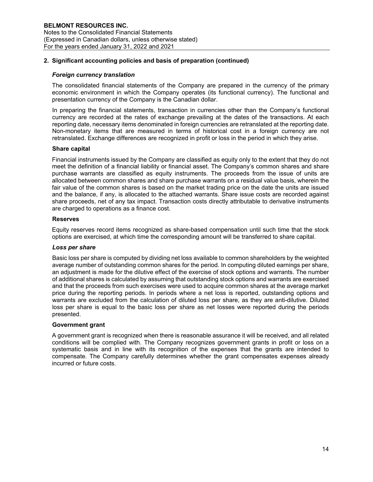### *Foreign currency translation*

The consolidated financial statements of the Company are prepared in the currency of the primary economic environment in which the Company operates (its functional currency). The functional and presentation currency of the Company is the Canadian dollar.

In preparing the financial statements, transaction in currencies other than the Company's functional currency are recorded at the rates of exchange prevailing at the dates of the transactions. At each reporting date, necessary items denominated in foreign currencies are retranslated at the reporting date. Non-monetary items that are measured in terms of historical cost in a foreign currency are not retranslated. Exchange differences are recognized in profit or loss in the period in which they arise.

#### **Share capital**

Financial instruments issued by the Company are classified as equity only to the extent that they do not meet the definition of a financial liability or financial asset. The Company's common shares and share purchase warrants are classified as equity instruments. The proceeds from the issue of units are allocated between common shares and share purchase warrants on a residual value basis, wherein the fair value of the common shares is based on the market trading price on the date the units are issued and the balance, if any, is allocated to the attached warrants. Share issue costs are recorded against share proceeds, net of any tax impact. Transaction costs directly attributable to derivative instruments are charged to operations as a finance cost.

#### **Reserves**

Equity reserves record items recognized as share-based compensation until such time that the stock options are exercised, at which time the corresponding amount will be transferred to share capital.

#### *Loss per share*

Basic loss per share is computed by dividing net loss available to common shareholders by the weighted average number of outstanding common shares for the period. In computing diluted earnings per share, an adjustment is made for the dilutive effect of the exercise of stock options and warrants. The number of additional shares is calculated by assuming that outstanding stock options and warrants are exercised and that the proceeds from such exercises were used to acquire common shares at the average market price during the reporting periods. In periods where a net loss is reported, outstanding options and warrants are excluded from the calculation of diluted loss per share, as they are anti-dilutive. Diluted loss per share is equal to the basic loss per share as net losses were reported during the periods presented.

### **Government grant**

A government grant is recognized when there is reasonable assurance it will be received, and all related conditions will be complied with. The Company recognizes government grants in profit or loss on a systematic basis and in line with its recognition of the expenses that the grants are intended to compensate. The Company carefully determines whether the grant compensates expenses already incurred or future costs.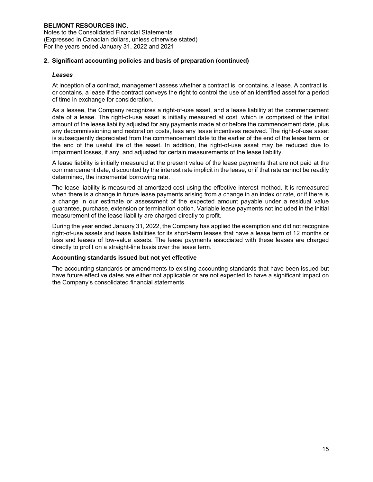#### *Leases*

At inception of a contract, management assess whether a contract is, or contains, a lease. A contract is, or contains, a lease if the contract conveys the right to control the use of an identified asset for a period of time in exchange for consideration.

As a lessee, the Company recognizes a right-of-use asset, and a lease liability at the commencement date of a lease. The right-of-use asset is initially measured at cost, which is comprised of the initial amount of the lease liability adjusted for any payments made at or before the commencement date, plus any decommissioning and restoration costs, less any lease incentives received. The right-of-use asset is subsequently depreciated from the commencement date to the earlier of the end of the lease term, or the end of the useful life of the asset. In addition, the right-of-use asset may be reduced due to impairment losses, if any, and adjusted for certain measurements of the lease liability.

A lease liability is initially measured at the present value of the lease payments that are not paid at the commencement date, discounted by the interest rate implicit in the lease, or if that rate cannot be readily determined, the incremental borrowing rate.

The lease liability is measured at amortized cost using the effective interest method. It is remeasured when there is a change in future lease payments arising from a change in an index or rate, or if there is a change in our estimate or assessment of the expected amount payable under a residual value guarantee, purchase, extension or termination option. Variable lease payments not included in the initial measurement of the lease liability are charged directly to profit.

During the year ended January 31, 2022, the Company has applied the exemption and did not recognize right-of-use assets and lease liabilities for its short-term leases that have a lease term of 12 months or less and leases of low-value assets. The lease payments associated with these leases are charged directly to profit on a straight-line basis over the lease term.

### **Accounting standards issued but not yet effective**

The accounting standards or amendments to existing accounting standards that have been issued but have future effective dates are either not applicable or are not expected to have a significant impact on the Company's consolidated financial statements.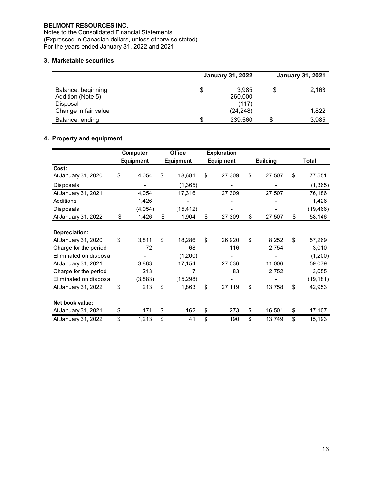Notes to the Consolidated Financial Statements (Expressed in Canadian dollars, unless otherwise stated) For the years ended January 31, 2022 and 2021

# **3. Marketable securities**

|                      | <b>January 31, 2022</b> |           | <b>January 31, 2021</b> |       |
|----------------------|-------------------------|-----------|-------------------------|-------|
| Balance, beginning   | \$                      | 3.985     | S                       | 2,163 |
| Addition (Note 5)    |                         | 260,000   |                         |       |
| Disposal             |                         | (117)     |                         | -     |
| Change in fair value |                         | (24, 248) |                         | 1,822 |
| Balance, ending      | S                       | 239,560   |                         | 3,985 |

# **4. Property and equipment**

|                        | Computer         | <b>Office</b>    | <b>Exploration</b> |                  |    |                 |    |           |  |  |
|------------------------|------------------|------------------|--------------------|------------------|----|-----------------|----|-----------|--|--|
|                        | <b>Equipment</b> | <b>Equipment</b> |                    | <b>Equipment</b> |    | <b>Building</b> |    | Total     |  |  |
| Cost:                  |                  |                  |                    |                  |    |                 |    |           |  |  |
| At January 31, 2020    | \$<br>4,054      | \$<br>18,681     | \$                 | 27,309           | \$ | 27,507          | \$ | 77,551    |  |  |
| Disposals              |                  | (1,365)          |                    |                  |    |                 |    | (1, 365)  |  |  |
| At January 31, 2021    | 4,054            | 17,316           |                    | 27,309           |    | 27,507          |    | 76,186    |  |  |
| Additions              | 1,426            |                  |                    |                  |    |                 |    | 1,426     |  |  |
| Disposals              | (4,054)          | (15, 412)        |                    |                  |    |                 |    | (19, 466) |  |  |
| At January 31, 2022    | \$<br>1,426      | \$<br>1,904      | \$                 | 27,309           | \$ | 27,507          | \$ | 58,146    |  |  |
|                        |                  |                  |                    |                  |    |                 |    |           |  |  |
| Depreciation:          |                  |                  |                    |                  |    |                 |    |           |  |  |
| At January 31, 2020    | \$<br>3,811      | \$<br>18,286     | \$                 | 26,920           | \$ | 8,252           | \$ | 57,269    |  |  |
| Charge for the period  | 72               | 68               |                    | 116              |    | 2,754           |    | 3,010     |  |  |
| Eliminated on disposal |                  | (1,200)          |                    |                  |    |                 |    | (1,200)   |  |  |
| At January 31, 2021    | 3,883            | 17,154           |                    | 27,036           |    | 11,006          |    | 59,079    |  |  |
| Charge for the period  | 213              | 7                |                    | 83               |    | 2,752           |    | 3,055     |  |  |
| Eliminated on disposal | (3,883)          | (15, 298)        |                    |                  |    |                 |    | (19, 181) |  |  |
| At January 31, 2022    | \$<br>213        | \$<br>1,863      | \$                 | 27,119           | \$ | 13,758          | \$ | 42,953    |  |  |
|                        |                  |                  |                    |                  |    |                 |    |           |  |  |
| Net book value:        |                  |                  |                    |                  |    |                 |    |           |  |  |
| At January 31, 2021    | \$<br>171        | \$<br>162        | \$                 | 273              | \$ | 16,501          | \$ | 17,107    |  |  |
| At January 31, 2022    | \$<br>1,213      | \$<br>41         | \$                 | 190              | \$ | 13,749          | \$ | 15,193    |  |  |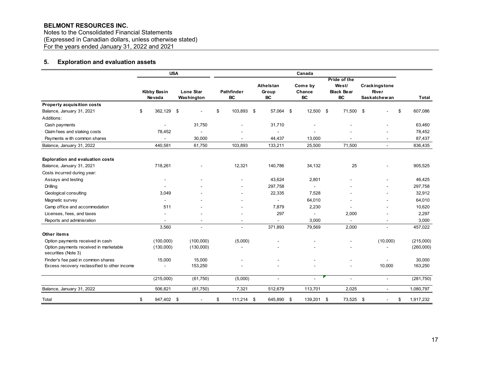Notes to the Consolidated Financial Statements (Expressed in Canadian dollars, unless otherwise stated) For the years ended January 31, 2022 and 2021

### **5. Exploration and evaluation assets**

|                                                               |                              | <b>USA</b>              |                          |                          |     |                          | Canada                         |    |                                                  |    |                                                      |                 |
|---------------------------------------------------------------|------------------------------|-------------------------|--------------------------|--------------------------|-----|--------------------------|--------------------------------|----|--------------------------------------------------|----|------------------------------------------------------|-----------------|
|                                                               | Kibby Basin<br><b>Nevada</b> | Lone Star<br>Washington |                          | Pathfinder<br><b>BC</b>  |     | Athelstan<br>Group<br>BC | Come by<br>Chance<br><b>BC</b> |    | Pride of the<br>West/<br><b>Black Bear</b><br>BC |    | Crackingstone<br><b>River</b><br><b>Saskatchewan</b> | Total           |
| Property acquisition costs                                    |                              |                         |                          |                          |     |                          |                                |    |                                                  |    |                                                      |                 |
| Balance, January 31, 2021                                     | \$<br>362,129 \$             |                         |                          | \$<br>103,893            | -\$ | 57,064                   | \$<br>12,500                   | \$ | 71,500                                           | \$ |                                                      | \$<br>607,086   |
| Additions:                                                    |                              |                         |                          |                          |     |                          |                                |    |                                                  |    |                                                      |                 |
| Cash payments                                                 |                              |                         | 31,750                   |                          |     | 31,710                   |                                |    |                                                  |    |                                                      | 63,460          |
| Claim fees and staking costs                                  | 78,452                       |                         |                          |                          |     |                          |                                |    |                                                  |    |                                                      | 78,452          |
| Payments with common shares                                   | $\overline{\phantom{a}}$     |                         | 30,000                   | $\overline{\phantom{a}}$ |     | 44,437                   | 13,000                         |    |                                                  |    | $\overline{\phantom{a}}$                             | 87,437          |
| Balance, January 31, 2022                                     | 440,581                      |                         | 61,750                   | 103.893                  |     | 133,211                  | 25,500                         |    | 71.500                                           |    | $\blacksquare$                                       | 836,435         |
| <b>Exploration and evaluation costs</b>                       |                              |                         |                          |                          |     |                          |                                |    |                                                  |    |                                                      |                 |
| Balance, January 31, 2021                                     | 718,261                      |                         |                          | 12,321                   |     | 140,786                  | 34,132                         |    | 25                                               |    |                                                      | 905,525         |
| Costs incurred during year:                                   |                              |                         |                          |                          |     |                          |                                |    |                                                  |    |                                                      |                 |
| Assays and testing                                            | $\overline{\phantom{a}}$     |                         |                          |                          |     | 43,624                   | 2,801                          |    |                                                  |    |                                                      | 46,425          |
| Drilling                                                      |                              |                         |                          |                          |     | 297,758                  | $\sim$                         |    |                                                  |    |                                                      | 297,758         |
| Geological consulting                                         | 3,049                        |                         |                          |                          |     | 22,335                   | 7,528                          |    |                                                  |    |                                                      | 32,912          |
| Magnetic survey                                               |                              |                         |                          |                          |     | $\sim$                   | 64,010                         |    |                                                  |    |                                                      | 64,010          |
| Camp office and accommodation                                 | 511                          |                         |                          |                          |     | 7,879                    | 2,230                          |    |                                                  |    |                                                      | 10,620          |
| Licenses, fees, and taxes                                     |                              |                         |                          |                          |     | 297                      |                                |    | 2,000                                            |    |                                                      | 2,297           |
| Reports and adminisration                                     | $\overline{\phantom{a}}$     |                         | $\overline{\phantom{a}}$ | $\blacksquare$           |     | $\blacksquare$           | 3,000                          |    | $\blacksquare$                                   |    | $\qquad \qquad \blacksquare$                         | 3,000           |
|                                                               | 3,560                        |                         | $\blacksquare$           | $\blacksquare$           |     | 371,893                  | 79,569                         |    | 2,000                                            |    | $\blacksquare$                                       | 457,022         |
| Other items                                                   |                              |                         |                          |                          |     |                          |                                |    |                                                  |    |                                                      |                 |
| Option payments received in cash                              | (100,000)                    |                         | (100,000)                | (5,000)                  |     |                          |                                |    |                                                  |    | (10,000)                                             | (215,000)       |
| Option payments received in marketable<br>securities (Note 3) | (130,000)                    |                         | (130,000)                |                          |     |                          |                                |    |                                                  |    |                                                      | (260,000)       |
| Finder's fee paid in common shares                            | 15,000                       |                         | 15,000                   |                          |     |                          |                                |    |                                                  |    |                                                      | 30,000          |
| Excess recovery reclassified to other income                  |                              |                         | 153,250                  |                          |     |                          |                                |    |                                                  |    | 10,000                                               | 163,250         |
|                                                               | (215,000)                    |                         | (61, 750)                | (5,000)                  |     | L,                       |                                |    |                                                  |    | $\blacksquare$                                       | (281, 750)      |
| Balance, January 31, 2022                                     | 506,821                      |                         | (61, 750)                | 7,321                    |     | 512,679                  | 113,701                        |    | 2,025                                            |    | $\mathbf{r}$                                         | 1,080,797       |
| Total                                                         | \$<br>947,402 \$             |                         | $\blacksquare$           | \$<br>111,214            | -\$ | 645,890                  | \$<br>139,201                  | \$ | 73,525 \$                                        |    | $\blacksquare$                                       | \$<br>1,917,232 |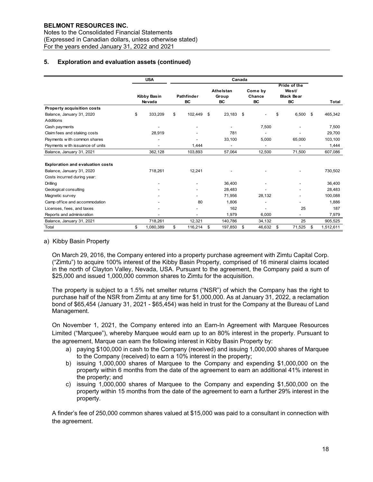Notes to the Consolidated Financial Statements (Expressed in Canadian dollars, unless otherwise stated) For the years ended January 31, 2022 and 2021

### **5. Exploration and evaluation assets (continued)**

|                                         | <b>USA</b>               |                         | Canada                   |    |                         |                                                  |      |           |
|-----------------------------------------|--------------------------|-------------------------|--------------------------|----|-------------------------|--------------------------------------------------|------|-----------|
|                                         | Kibby Basin<br>Ne vada   | <b>Pathfinder</b><br>BC | Athelstan<br>Group<br>BC |    | Come by<br>Chance<br>BC | Pride of the<br>West/<br><b>Black Bear</b><br>BC |      | Total     |
| Property acquisition costs              |                          |                         |                          |    |                         |                                                  |      |           |
| Balance, January 31, 2020               | \$<br>333,209            | \$<br>102,449           | \$<br>23,183 \$          |    |                         | \$<br>6,500                                      | - \$ | 465,342   |
| <b>Additions</b>                        |                          |                         |                          |    |                         |                                                  |      |           |
| Cash payments                           | $\overline{\phantom{0}}$ |                         | $\overline{\phantom{a}}$ |    | 7,500                   |                                                  |      | 7,500     |
| Claim fees and staking costs            | 28,919                   |                         | 781                      |    |                         |                                                  |      | 29,700    |
| Payments with common shares             |                          |                         | 33,100                   |    | 5,000                   | 65,000                                           |      | 103,100   |
| Payments with issuance of units         |                          | 1,444                   |                          |    | $\overline{a}$          |                                                  |      | 1,444     |
| Balance, January 31, 2021               | 362,128                  | 103,893                 | 57,064                   |    | 12,500                  | 71,500                                           |      | 607,086   |
| <b>Exploration and evaluation costs</b> |                          |                         |                          |    |                         |                                                  |      |           |
| Balance, January 31, 2020               | 718,261                  | 12,241                  |                          |    |                         |                                                  |      | 730,502   |
| Costs incurred during year:             |                          |                         |                          |    |                         |                                                  |      |           |
| Drilling                                |                          |                         | 36,400                   |    |                         |                                                  |      | 36,400    |
| Geological consulting                   |                          |                         | 28,483                   |    |                         |                                                  |      | 28,483    |
| Magnetic survey                         |                          |                         | 71,956                   |    | 28,132                  |                                                  |      | 100,088   |
| Camp office and accommodation           |                          | 80                      | 1,806                    |    |                         |                                                  |      | 1,886     |
| Licenses, fees, and taxes               |                          |                         | 162                      |    |                         | 25                                               |      | 187       |
| Reports and adminisration               |                          |                         | 1,979                    |    | 6,000                   |                                                  |      | 7,979     |
| Balance, January 31, 2021               | 718,261                  | 12,321                  | 140,786                  |    | 34,132                  | 25                                               |      | 905,525   |
| Total                                   | \$<br>1,080,389          | \$<br>116,214           | \$<br>197,850            | \$ | 46,632                  | \$<br>71,525                                     | \$   | 1,512,611 |

### a) Kibby Basin Property

On March 29, 2016, the Company entered into a property purchase agreement with Zimtu Capital Corp. ("Zimtu") to acquire 100% interest of the Kibby Basin Property, comprised of 16 mineral claims located in the north of Clayton Valley, Nevada, USA. Pursuant to the agreement, the Company paid a sum of \$25,000 and issued 1,000,000 common shares to Zimtu for the acquisition.

The property is subject to a 1.5% net smelter returns ("NSR") of which the Company has the right to purchase half of the NSR from Zimtu at any time for \$1,000,000. As at January 31, 2022, a reclamation bond of \$65,454 (January 31, 2021 - \$65,454) was held in trust for the Company at the Bureau of Land Management.

On November 1, 2021, the Company entered into an Earn-In Agreement with Marquee Resources Limited ("Marquee"), whereby Marquee would earn up to an 80% interest in the property. Pursuant to the agreement, Marque can earn the following interest in Kibby Basin Property by:

- a) paying \$100,000 in cash to the Company (received) and issuing 1,000,000 shares of Marquee to the Company (received) to earn a 10% interest in the property;
- b) issuing 1,000,000 shares of Marquee to the Company and expending \$1,000,000 on the property within 6 months from the date of the agreement to earn an additional 41% interest in the property; and
- c) issuing 1,000,000 shares of Marquee to the Company and expending \$1,500,000 on the property within 15 months from the date of the agreement to earn a further 29% interest in the property.

A finder's fee of 250,000 common shares valued at \$15,000 was paid to a consultant in connection with the agreement.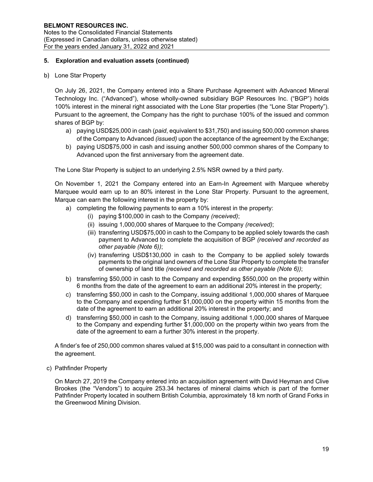### **5. Exploration and evaluation assets (continued)**

b) Lone Star Property

On July 26, 2021, the Company entered into a Share Purchase Agreement with Advanced Mineral Technology Inc. ("Advanced"), whose wholly-owned subsidiary BGP Resources Inc. ("BGP") holds 100% interest in the mineral right associated with the Lone Star properties (the "Lone Star Property"). Pursuant to the agreement, the Company has the right to purchase 100% of the issued and common shares of BGP by:

- a) paying USD\$25,000 in cash (*paid*, equivalent to \$31,750) and issuing 500,000 common shares of the Company to Advanced *(issued)* upon the acceptance of the agreement by the Exchange;
- b) paying USD\$75,000 in cash and issuing another 500,000 common shares of the Company to Advanced upon the first anniversary from the agreement date.

The Lone Star Property is subject to an underlying 2.5% NSR owned by a third party.

On November 1, 2021 the Company entered into an Earn-In Agreement with Marquee whereby Marquee would earn up to an 80% interest in the Lone Star Property. Pursuant to the agreement, Marque can earn the following interest in the property by:

- a) completing the following payments to earn a 10% interest in the property:
	- (i) paying \$100,000 in cash to the Company *(received)*;
	- (ii) issuing 1,000,000 shares of Marquee to the Company *(received)*;
	- (iii) transferring USD\$75,000 in cash to the Company to be applied solely towards the cash payment to Advanced to complete the acquisition of BGP *(received and recorded as other payable (Note 6))*;
	- (iv) transferring USD\$130,000 in cash to the Company to be applied solely towards payments to the original land owners of the Lone Star Property to complete the transfer of ownership of land title *(received and recorded as other payable (Note 6))*;
- b) transferring \$50,000 in cash to the Company and expending \$550,000 on the property within 6 months from the date of the agreement to earn an additional 20% interest in the property;
- c) transferring \$50,000 in cash to the Company, issuing additional 1,000,000 shares of Marquee to the Company and expending further \$1,000,000 on the property within 15 months from the date of the agreement to earn an additional 20% interest in the property; and
- d) transferring \$50,000 in cash to the Company, issuing additional 1,000,000 shares of Marquee to the Company and expending further \$1,000,000 on the property within two years from the date of the agreement to earn a further 30% interest in the property.

A finder's fee of 250,000 common shares valued at \$15,000 was paid to a consultant in connection with the agreement.

c) Pathfinder Property

On March 27, 2019 the Company entered into an acquisition agreement with David Heyman and Clive Brookes (the "Vendors") to acquire 253.34 hectares of mineral claims which is part of the former Pathfinder Property located in southern British Columbia, approximately 18 km north of Grand Forks in the Greenwood Mining Division.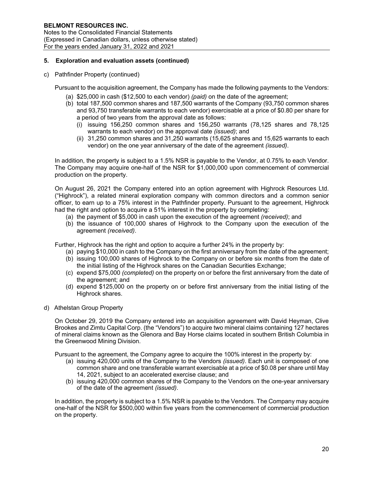### **BELMONT RESOURCES INC.**  Notes to the Consolidated Financial Statements (Expressed in Canadian dollars, unless otherwise stated) For the years ended January 31, 2022 and 2021

### **5. Exploration and evaluation assets (continued)**

c) Pathfinder Property (continued)

Pursuant to the acquisition agreement, the Company has made the following payments to the Vendors:

- (a) \$25,000 in cash (\$12,500 to each vendor) *(paid)* on the date of the agreement;
- (b) total 187,500 common shares and 187,500 warrants of the Company (93,750 common shares and 93,750 transferable warrants to each vendor) exercisable at a price of \$0.80 per share for a period of two years from the approval date as follows:
	- (i) issuing 156,250 common shares and 156,250 warrants (78,125 shares and 78,125 warrants to each vendor) on the approval date *(issued)*; and
	- (ii) 31,250 common shares and 31,250 warrants (15,625 shares and 15,625 warrants to each vendor) on the one year anniversary of the date of the agreement *(issued)*.

In addition, the property is subject to a 1.5% NSR is payable to the Vendor, at 0.75% to each Vendor. The Company may acquire one-half of the NSR for \$1,000,000 upon commencement of commercial production on the property.

On August 26, 2021 the Company entered into an option agreement with Highrock Resources Ltd. ("Highrock"), a related mineral exploration company with common directors and a common senior officer, to earn up to a 75% interest in the Pathfinder property. Pursuant to the agreement, Highrock had the right and option to acquire a 51% interest in the property by completing:

- (a) the payment of \$5,000 in cash upon the execution of the agreement *(received)*; and
- (b) the issuance of 100,000 shares of Highrock to the Company upon the execution of the agreement *(received)*.

Further, Highrock has the right and option to acquire a further 24% in the property by:

- (a) paying \$10,000 in cash to the Company on the first anniversary from the date of the agreement;
- (b) issuing 100,000 shares of Highrock to the Company on or before six months from the date of the initial listing of the Highrock shares on the Canadian Securities Exchange;
- (c) expend \$75,000 *(completed)* on the property on or before the first anniversary from the date of the agreement; and
- (d) expend \$125,000 on the property on or before first anniversary from the initial listing of the Highrock shares.
- d) Athelstan Group Property

On October 29, 2019 the Company entered into an acquisition agreement with David Heyman, Clive Brookes and Zimtu Capital Corp. (the "Vendors") to acquire two mineral claims containing 127 hectares of mineral claims known as the Glenora and Bay Horse claims located in southern British Columbia in the Greenwood Mining Division.

Pursuant to the agreement, the Company agree to acquire the 100% interest in the property by:

- (a) issuing 420,000 units of the Company to the Vendors *(issued)*. Each unit is composed of one common share and one transferable warrant exercisable at a price of \$0.08 per share until May 14, 2021, subject to an accelerated exercise clause; and
- (b) issuing 420,000 common shares of the Company to the Vendors on the one-year anniversary of the date of the agreement *(issued)*.

In addition, the property is subject to a 1.5% NSR is payable to the Vendors. The Company may acquire one-half of the NSR for \$500,000 within five years from the commencement of commercial production on the property.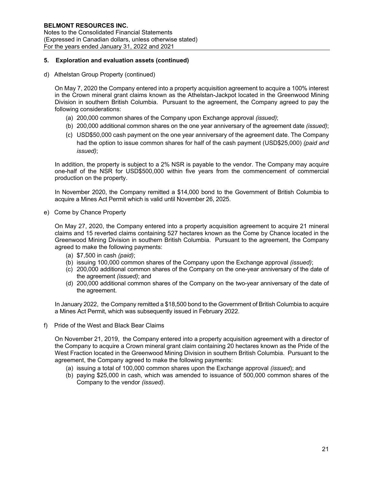### **5. Exploration and evaluation assets (continued)**

d) Athelstan Group Property (continued)

On May 7, 2020 the Company entered into a property acquisition agreement to acquire a 100% interest in the Crown mineral grant claims known as the Athelstan-Jackpot located in the Greenwood Mining Division in southern British Columbia. Pursuant to the agreement, the Company agreed to pay the following considerations:

- (a) 200,000 common shares of the Company upon Exchange approval *(issued)*;
- (b) 200,000 additional common shares on the one year anniversary of the agreement date *(issued)*;
- (c) USD\$50,000 cash payment on the one year anniversary of the agreement date. The Company had the option to issue common shares for half of the cash payment (USD\$25,000) *(paid and issued)*;

In addition, the property is subject to a 2% NSR is payable to the vendor. The Company may acquire one-half of the NSR for USD\$500,000 within five years from the commencement of commercial production on the property.

In November 2020, the Company remitted a \$14,000 bond to the Government of British Columbia to acquire a Mines Act Permit which is valid until November 26, 2025.

e) Come by Chance Property

On May 27, 2020, the Company entered into a property acquisition agreement to acquire 21 mineral claims and 15 reverted claims containing 527 hectares known as the Come by Chance located in the Greenwood Mining Division in southern British Columbia. Pursuant to the agreement, the Company agreed to make the following payments:

- (a) \$7,500 in cash *(paid)*;
- (b) issuing 100,000 common shares of the Company upon the Exchange approval *(issued)*;
- (c) 200,000 additional common shares of the Company on the one-year anniversary of the date of the agreement *(issued)*; and
- (d) 200,000 additional common shares of the Company on the two-year anniversary of the date of the agreement.

In January 2022, the Company remitted a \$18,500 bond to the Government of British Columbia to acquire a Mines Act Permit, which was subsequently issued in February 2022.

f) Pride of the West and Black Bear Claims

On November 21, 2019, the Company entered into a property acquisition agreement with a director of the Company to acquire a Crown mineral grant claim containing 20 hectares known as the Pride of the West Fraction located in the Greenwood Mining Division in southern British Columbia. Pursuant to the agreement, the Company agreed to make the following payments:

- (a) issuing a total of 100,000 common shares upon the Exchange approval *(issued*); and
- (b) paying \$25,000 in cash, which was amended to issuance of 500,000 common shares of the Company to the vendor *(issued)*.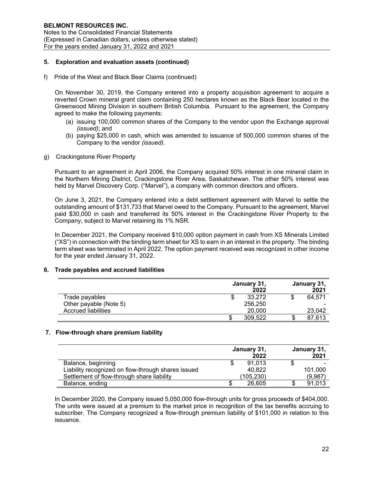### **5. Exploration and evaluation assets (continued)**

f) Pride of the West and Black Bear Claims (continued)

On November 30, 2019, the Company entered into a property acquisition agreement to acquire a reverted Crown mineral grant claim containing 250 hectares known as the Black Bear located in the Greenwood Mining Division in southern British Columbia. Pursuant to the agreement, the Company agreed to make the following payments:

- (a) issuing 100,000 common shares of the Company to the vendor upon the Exchange approval *(issued)*; and
- (b) paying \$25,000 in cash, which was amended to issuance of 500,000 common shares of the Company to the vendor *(issued)*.
- g) Crackingstone River Property

Pursuant to an agreement in April 2006, the Company acquired 50% interest in one mineral claim in the Northern Mining District, Crackingstone River Area, Saskatchewan. The other 50% interest was held by Marvel Discovery Corp. ("Marvel"), a company with common directors and officers.

On June 3, 2021, the Company entered into a debt settlement agreement with Marvel to settle the outstanding amount of \$131,733 that Marvel owed to the Company. Pursuant to the agreement, Marvel paid \$30,000 in cash and transferred its 50% interest in the Crackingstone River Property to the Company, subject to Marvel retaining its 1% NSR.

In December 2021, the Company received \$10,000 option payment in cash from XS Minerals Limited ("XS") in connection with the binding term sheet for XS to earn in an interest in the property. The binding term sheet was terminated in April 2022. The option payment received was recognized in other income for the year ended January 31, 2022.

### **6. Trade payables and accrued liabilities**

|                            | January 31,<br>2022 | January 31,<br>2021 |
|----------------------------|---------------------|---------------------|
| Trade payables             | 33.272              | 64.571              |
| Other payable (Note 5)     | 256,250             |                     |
| <b>Accrued liabilities</b> | 20,000              | 23,042              |
|                            | 309,522             | 87,613              |

### **7. Flow-through share premium liability**

|                                                    | January 31,<br>2022 | January 31,<br>2021 |
|----------------------------------------------------|---------------------|---------------------|
| Balance, beginning                                 | 91.013              |                     |
| Liability recognized on flow-through shares issued | 40.822              | 101,000             |
| Settlement of flow-through share liability         | (105, 230)          | (9,987)             |
| Balance, ending                                    | 26.605              | 91,013              |

In December 2020, the Company issued 5,050,000 flow-through units for gross proceeds of \$404,000. The units were issued at a premium to the market price in recognition of the tax benefits accruing to subscriber. The Company recognized a flow-through premium liability of \$101,000 in relation to this issuance.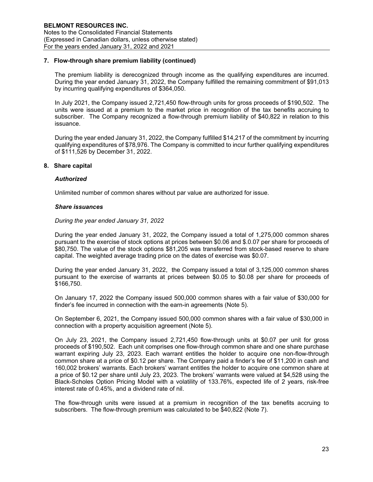### **7. Flow-through share premium liability (continued)**

The premium liability is derecognized through income as the qualifying expenditures are incurred. During the year ended January 31, 2022, the Company fulfilled the remaining commitment of \$91,013 by incurring qualifying expenditures of \$364,050.

In July 2021, the Company issued 2,721,450 flow-through units for gross proceeds of \$190,502. The units were issued at a premium to the market price in recognition of the tax benefits accruing to subscriber. The Company recognized a flow-through premium liability of \$40,822 in relation to this issuance.

During the year ended January 31, 2022, the Company fulfilled \$14,217 of the commitment by incurring qualifying expenditures of \$78,976. The Company is committed to incur further qualifying expenditures of \$111,526 by December 31, 2022.

### **8. Share capital**

#### *Authorized*

Unlimited number of common shares without par value are authorized for issue.

#### *Share issuances*

#### *During the year ended January 31, 2022*

During the year ended January 31, 2022, the Company issued a total of 1,275,000 common shares pursuant to the exercise of stock options at prices between \$0.06 and \$.0.07 per share for proceeds of \$80,750. The value of the stock options \$81,205 was transferred from stock-based reserve to share capital. The weighted average trading price on the dates of exercise was \$0.07.

During the year ended January 31, 2022, the Company issued a total of 3,125,000 common shares pursuant to the exercise of warrants at prices between \$0.05 to \$0.08 per share for proceeds of \$166,750.

On January 17, 2022 the Company issued 500,000 common shares with a fair value of \$30,000 for finder's fee incurred in connection with the earn-in agreements (Note 5).

On September 6, 2021, the Company issued 500,000 common shares with a fair value of \$30,000 in connection with a property acquisition agreement (Note 5).

On July 23, 2021, the Company issued 2,721,450 flow-through units at \$0.07 per unit for gross proceeds of \$190,502. Each unit comprises one flow-through common share and one share purchase warrant expiring July 23, 2023. Each warrant entitles the holder to acquire one non-flow-through common share at a price of \$0.12 per share. The Company paid a finder's fee of \$11,200 in cash and 160,002 brokers' warrants. Each brokers' warrant entitles the holder to acquire one common share at a price of \$0.12 per share until July 23, 2023. The brokers' warrants were valued at \$4,528 using the Black-Scholes Option Pricing Model with a volatility of 133.76%, expected life of 2 years, risk-free interest rate of 0.45%, and a dividend rate of nil.

The flow-through units were issued at a premium in recognition of the tax benefits accruing to subscribers. The flow-through premium was calculated to be \$40,822 (Note 7).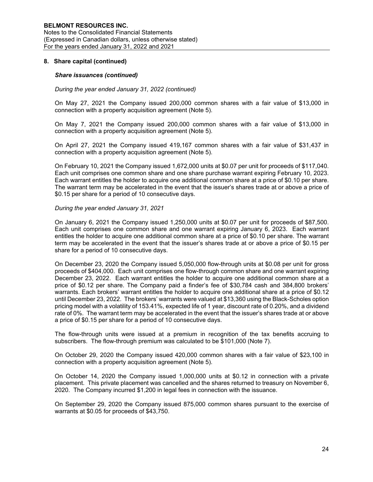Notes to the Consolidated Financial Statements (Expressed in Canadian dollars, unless otherwise stated) For the years ended January 31, 2022 and 2021

### **8. Share capital (continued)**

### *Share issuances (continued)*

### *During the year ended January 31, 2022 (continued)*

On May 27, 2021 the Company issued 200,000 common shares with a fair value of \$13,000 in connection with a property acquisition agreement (Note 5).

On May 7, 2021 the Company issued 200,000 common shares with a fair value of \$13,000 in connection with a property acquisition agreement (Note 5).

On April 27, 2021 the Company issued 419,167 common shares with a fair value of \$31,437 in connection with a property acquisition agreement (Note 5).

On February 10, 2021 the Company issued 1,672,000 units at \$0.07 per unit for proceeds of \$117,040. Each unit comprises one common share and one share purchase warrant expiring February 10, 2023. Each warrant entitles the holder to acquire one additional common share at a price of \$0.10 per share. The warrant term may be accelerated in the event that the issuer's shares trade at or above a price of \$0.15 per share for a period of 10 consecutive days.

### *During the year ended January 31, 2021*

On January 6, 2021 the Company issued 1,250,000 units at \$0.07 per unit for proceeds of \$87,500. Each unit comprises one common share and one warrant expiring January 6, 2023. Each warrant entitles the holder to acquire one additional common share at a price of \$0.10 per share. The warrant term may be accelerated in the event that the issuer's shares trade at or above a price of \$0.15 per share for a period of 10 consecutive days.

On December 23, 2020 the Company issued 5,050,000 flow-through units at \$0.08 per unit for gross proceeds of \$404,000. Each unit comprises one flow-through common share and one warrant expiring December 23, 2022. Each warrant entitles the holder to acquire one additional common share at a price of \$0.12 per share. The Company paid a finder's fee of \$30,784 cash and 384,800 brokers' warrants. Each brokers' warrant entitles the holder to acquire one additional share at a price of \$0.12 until December 23, 2022. The brokers' warrants were valued at \$13,360 using the Black-Scholes option pricing model with a volatility of 153.41%, expected life of 1 year, discount rate of 0.20%, and a dividend rate of 0%. The warrant term may be accelerated in the event that the issuer's shares trade at or above a price of \$0.15 per share for a period of 10 consecutive days.

The flow-through units were issued at a premium in recognition of the tax benefits accruing to subscribers. The flow-through premium was calculated to be \$101,000 (Note 7).

On October 29, 2020 the Company issued 420,000 common shares with a fair value of \$23,100 in connection with a property acquisition agreement (Note 5).

On October 14, 2020 the Company issued 1,000,000 units at \$0.12 in connection with a private placement. This private placement was cancelled and the shares returned to treasury on November 6, 2020. The Company incurred \$1,200 in legal fees in connection with the issuance.

On September 29, 2020 the Company issued 875,000 common shares pursuant to the exercise of warrants at \$0.05 for proceeds of \$43,750.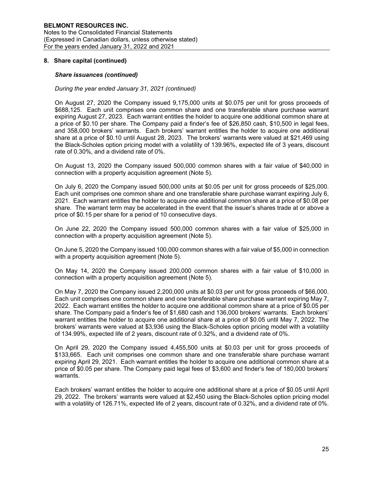### **8. Share capital (continued)**

### *Share issuances (continued)*

### *During the year ended January 31, 2021 (continued)*

On August 27, 2020 the Company issued 9,175,000 units at \$0.075 per unit for gross proceeds of \$688,125. Each unit comprises one common share and one transferable share purchase warrant expiring August 27, 2023. Each warrant entitles the holder to acquire one additional common share at a price of \$0.10 per share. The Company paid a finder's fee of \$26,850 cash, \$10,500 in legal fees, and 358,000 brokers' warrants. Each brokers' warrant entitles the holder to acquire one additional share at a price of \$0.10 until August 28, 2023. The brokers' warrants were valued at \$21,469 using the Black-Scholes option pricing model with a volatility of 139.96%, expected life of 3 years, discount rate of 0.30%, and a dividend rate of 0%.

On August 13, 2020 the Company issued 500,000 common shares with a fair value of \$40,000 in connection with a property acquisition agreement (Note 5).

On July 6, 2020 the Company issued 500,000 units at \$0.05 per unit for gross proceeds of \$25,000. Each unit comprises one common share and one transferable share purchase warrant expiring July 6, 2021. Each warrant entitles the holder to acquire one additional common share at a price of \$0.08 per share. The warrant term may be accelerated in the event that the issuer's shares trade at or above a price of \$0.15 per share for a period of 10 consecutive days.

On June 22, 2020 the Company issued 500,000 common shares with a fair value of \$25,000 in connection with a property acquisition agreement (Note 5).

On June 5, 2020 the Company issued 100,000 common shares with a fair value of \$5,000 in connection with a property acquisition agreement (Note 5).

On May 14, 2020 the Company issued 200,000 common shares with a fair value of \$10,000 in connection with a property acquisition agreement (Note 5).

On May 7, 2020 the Company issued 2,200,000 units at \$0.03 per unit for gross proceeds of \$66,000. Each unit comprises one common share and one transferable share purchase warrant expiring May 7, 2022. Each warrant entitles the holder to acquire one additional common share at a price of \$0.05 per share. The Company paid a finder's fee of \$1,680 cash and 136,000 brokers' warrants. Each brokers' warrant entitles the holder to acquire one additional share at a price of \$0.05 until May 7, 2022. The brokers' warrants were valued at \$3,936 using the Black-Scholes option pricing model with a volatility of 134.99%, expected life of 2 years, discount rate of 0.32%, and a dividend rate of 0%.

On April 29, 2020 the Company issued 4,455,500 units at \$0.03 per unit for gross proceeds of \$133,665. Each unit comprises one common share and one transferable share purchase warrant expiring April 29, 2021. Each warrant entitles the holder to acquire one additional common share at a price of \$0.05 per share. The Company paid legal fees of \$3,600 and finder's fee of 180,000 brokers' warrants.

Each brokers' warrant entitles the holder to acquire one additional share at a price of \$0.05 until April 29, 2022. The brokers' warrants were valued at \$2,450 using the Black-Scholes option pricing model with a volatility of 126.71%, expected life of 2 years, discount rate of 0.32%, and a dividend rate of 0%.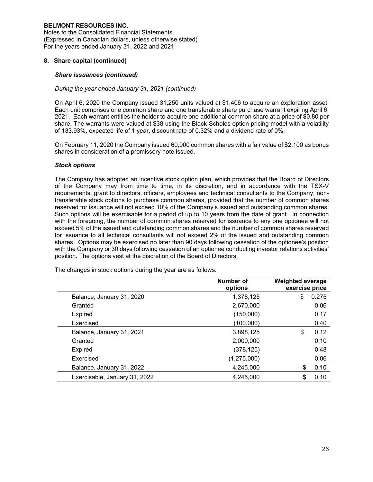### **8. Share capital (continued)**

### *Share issuances (continued)*

### *During the year ended January 31, 2021 (continued)*

On April 6, 2020 the Company issued 31,250 units valued at \$1,406 to acquire an exploration asset. Each unit comprises one common share and one transferable share purchase warrant expiring April 6, 2021. Each warrant entitles the holder to acquire one additional common share at a price of \$0.80 per share. The warrants were valued at \$38 using the Black-Scholes option pricing model with a volatility of 133.93%, expected life of 1 year, discount rate of 0.32% and a dividend rate of 0%.

On February 11, 2020 the Company issued 60,000 common shares with a fair value of \$2,100 as bonus shares in consideration of a promissory note issued.

### *Stock options*

The Company has adopted an incentive stock option plan, which provides that the Board of Directors of the Company may from time to time, in its discretion, and in accordance with the TSX-V requirements, grant to directors, officers, employees and technical consultants to the Company, nontransferable stock options to purchase common shares, provided that the number of common shares reserved for issuance will not exceed 10% of the Company's issued and outstanding common shares. Such options will be exercisable for a period of up to 10 years from the date of grant. In connection with the foregoing, the number of common shares reserved for issuance to any one optionee will not exceed 5% of the issued and outstanding common shares and the number of common shares reserved for issuance to all technical consultants will not exceed 2% of the issued and outstanding common shares. Options may be exercised no later than 90 days following cessation of the optionee's position with the Company or 30 days following cessation of an optionee conducting investor relations activities' position. The options vest at the discretion of the Board of Directors.

|                               | Number of<br>options | <b>Weighted average</b><br>exercise price |
|-------------------------------|----------------------|-------------------------------------------|
| Balance, January 31, 2020     | 1,378,125            | 0.275<br>S                                |
| Granted                       | 2,670,000            | 0.06                                      |
| Expired                       | (150,000)            | 0.17                                      |
| Exercised                     | (100,000)            | 0.40                                      |
| Balance, January 31, 2021     | 3,898,125            | 0.12<br>\$                                |
| Granted                       | 2,000,000            | 0.10                                      |
| <b>Expired</b>                | (378, 125)           | 0.48                                      |
| Exercised                     | (1, 275, 000)        | 0.06                                      |
| Balance, January 31, 2022     | 4,245,000            | 0.10                                      |
| Exercisable, January 31, 2022 | 4.245.000            | 0.10<br>\$                                |

The changes in stock options during the year are as follows: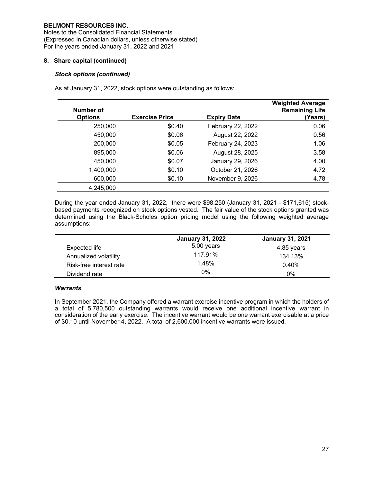Notes to the Consolidated Financial Statements (Expressed in Canadian dollars, unless otherwise stated) For the years ended January 31, 2022 and 2021

### **8. Share capital (continued)**

# *Stock options (continued)*

As at January 31, 2022, stock options were outstanding as follows:

| Number of      |                       |                    | <b>Weighted Average</b><br><b>Remaining Life</b> |
|----------------|-----------------------|--------------------|--------------------------------------------------|
| <b>Options</b> | <b>Exercise Price</b> | <b>Expiry Date</b> | (Years)                                          |
| 250,000        | \$0.40                | February 22, 2022  | 0.06                                             |
| 450,000        | \$0.06                | August 22, 2022    | 0.56                                             |
| 200,000        | \$0.05                | February 24, 2023  | 1.06                                             |
| 895,000        | \$0.06                | August 28, 2025    | 3.58                                             |
| 450,000        | \$0.07                | January 29, 2026   | 4.00                                             |
| 1,400,000      | \$0.10                | October 21, 2026   | 4.72                                             |
| 600,000        | \$0.10                | November 9, 2026   | 4.78                                             |
| 4,245,000      |                       |                    |                                                  |

During the year ended January 31, 2022, there were \$98,250 (January 31, 2021 - \$171,615) stockbased payments recognized on stock options vested. The fair value of the stock options granted was determined using the Black-Scholes option pricing model using the following weighted average assumptions:

|                         | <b>January 31, 2022</b> | <b>January 31, 2021</b> |
|-------------------------|-------------------------|-------------------------|
| Expected life           | 5.00 years              | 4.85 years              |
| Annualized volatility   | 117.91%                 | 134.13%                 |
| Risk-free interest rate | 1.48%                   | 0.40%                   |
| Dividend rate           | $0\%$                   | $0\%$                   |

### *Warrants*

In September 2021, the Company offered a warrant exercise incentive program in which the holders of a total of 5,780,500 outstanding warrants would receive one additional incentive warrant in consideration of the early exercise. The incentive warrant would be one warrant exercisable at a price of \$0.10 until November 4, 2022. A total of 2,600,000 incentive warrants were issued.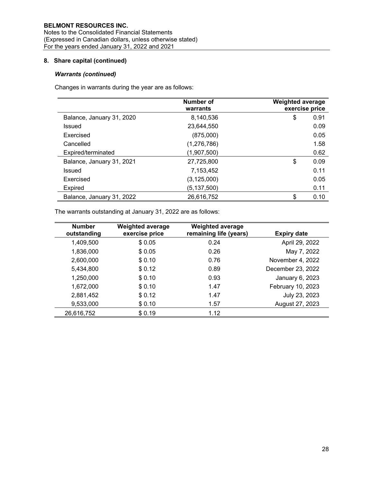Notes to the Consolidated Financial Statements (Expressed in Canadian dollars, unless otherwise stated) For the years ended January 31, 2022 and 2021

# **8. Share capital (continued)**

# *Warrants (continued)*

Changes in warrants during the year are as follows:

|                           | <b>Number of</b><br>warrants | <b>Weighted average</b><br>exercise price |
|---------------------------|------------------------------|-------------------------------------------|
| Balance, January 31, 2020 | 8,140,536                    | \$<br>0.91                                |
| Issued                    | 23.644.550                   | 0.09                                      |
| Exercised                 | (875,000)                    | 0.05                                      |
| Cancelled                 | (1, 276, 786)                | 1.58                                      |
| Expired/terminated        | (1,907,500)                  | 0.62                                      |
| Balance, January 31, 2021 | 27,725,800                   | \$<br>0.09                                |
| Issued                    | 7,153,452                    | 0.11                                      |
| Exercised                 | (3, 125, 000)                | 0.05                                      |
| <b>Expired</b>            | (5,137,500)                  | 0.11                                      |
| Balance, January 31, 2022 | 26,616,752                   | \$<br>0.10                                |

The warrants outstanding at January 31, 2022 are as follows:

| <b>Number</b> | <b>Weighted average</b> | <b>Weighted average</b> |                    |
|---------------|-------------------------|-------------------------|--------------------|
| outstanding   | exercise price          | remaining life (years)  | <b>Expiry date</b> |
| 1,409,500     | \$0.05                  | 0.24                    | April 29, 2022     |
| 1,836,000     | \$0.05                  | 0.26                    | May 7, 2022        |
| 2,600,000     | \$0.10                  | 0.76                    | November 4, 2022   |
| 5,434,800     | \$0.12                  | 0.89                    | December 23, 2022  |
| 1,250,000     | \$0.10                  | 0.93                    | January 6, 2023    |
| 1,672,000     | \$0.10                  | 1.47                    | February 10, 2023  |
| 2,881,452     | \$0.12                  | 1.47                    | July 23, 2023      |
| 9,533,000     | \$0.10                  | 1.57                    | August 27, 2023    |
| 26,616,752    | \$0.19                  | 1.12                    |                    |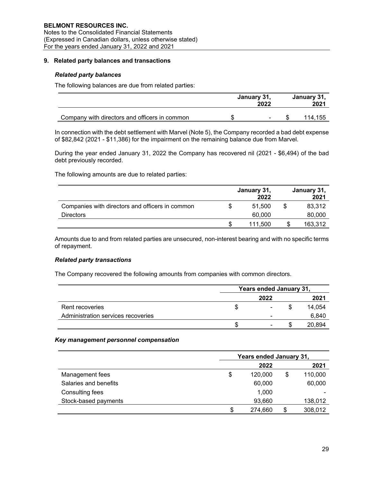### **9. Related party balances and transactions**

### *Related party balances*

The following balances are due from related parties:

|                                               | January 31,<br>2022 |                | January 31,<br>2021 |         |
|-----------------------------------------------|---------------------|----------------|---------------------|---------|
| Company with directors and officers in common |                     | $\blacksquare$ |                     | 114,155 |

In connection with the debt settlement with Marvel (Note 5), the Company recorded a bad debt expense of \$82,842 (2021 - \$11,386) for the impairment on the remaining balance due from Marvel.

During the year ended January 31, 2022 the Company has recovered nil (2021 - \$6,494) of the bad debt previously recorded.

The following amounts are due to related parties:

|                                                 |   | January 31,<br>2022 | January 31,<br>2021 |
|-------------------------------------------------|---|---------------------|---------------------|
| Companies with directors and officers in common | S | 51.500              | 83,312              |
| <b>Directors</b>                                |   | 60,000              | 80,000              |
|                                                 |   | 111.500             | 163,312             |

Amounts due to and from related parties are unsecured, non-interest bearing and with no specific terms of repayment.

### *Related party transactions*

The Company recovered the following amounts from companies with common directors.

|                                    | Years ended January 31, |                |  |        |
|------------------------------------|-------------------------|----------------|--|--------|
|                                    |                         | 2022           |  | 2021   |
| Rent recoveries                    |                         | $\blacksquare$ |  | 14.054 |
| Administration services recoveries |                         | -              |  | 6,840  |
|                                    |                         | $\blacksquare$ |  | 20.894 |

### *Key management personnel compensation*

|                       | Years ended January 31, |    |         |  |
|-----------------------|-------------------------|----|---------|--|
|                       | 2022                    |    | 2021    |  |
| Management fees       | \$<br>120,000           | S  | 110,000 |  |
| Salaries and benefits | 60,000                  |    | 60,000  |  |
| Consulting fees       | 1,000                   |    |         |  |
| Stock-based payments  | 93,660                  |    | 138,012 |  |
|                       | \$<br>274,660           | \$ | 308,012 |  |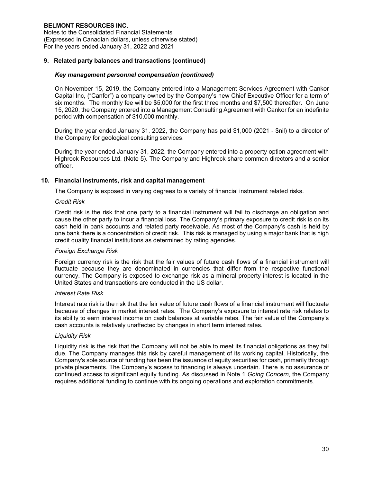### **9. Related party balances and transactions (continued)**

#### *Key management personnel compensation (continued)*

On November 15, 2019, the Company entered into a Management Services Agreement with Cankor Capital Inc, ("Canfor") a company owned by the Company's new Chief Executive Officer for a term of six months. The monthly fee will be \$5,000 for the first three months and \$7,500 thereafter. On June 15, 2020, the Company entered into a Management Consulting Agreement with Cankor for an indefinite period with compensation of \$10,000 monthly.

During the year ended January 31, 2022, the Company has paid \$1,000 (2021 - \$nil) to a director of the Company for geological consulting services.

During the year ended January 31, 2022, the Company entered into a property option agreement with Highrock Resources Ltd. (Note 5). The Company and Highrock share common directors and a senior officer.

### **10. Financial instruments, risk and capital management**

The Company is exposed in varying degrees to a variety of financial instrument related risks.

#### *Credit Risk*

Credit risk is the risk that one party to a financial instrument will fail to discharge an obligation and cause the other party to incur a financial loss. The Company's primary exposure to credit risk is on its cash held in bank accounts and related party receivable. As most of the Company's cash is held by one bank there is a concentration of credit risk. This risk is managed by using a major bank that is high credit quality financial institutions as determined by rating agencies.

#### *Foreign Exchange Risk*

Foreign currency risk is the risk that the fair values of future cash flows of a financial instrument will fluctuate because they are denominated in currencies that differ from the respective functional currency. The Company is exposed to exchange risk as a mineral property interest is located in the United States and transactions are conducted in the US dollar.

#### *Interest Rate Risk*

Interest rate risk is the risk that the fair value of future cash flows of a financial instrument will fluctuate because of changes in market interest rates. The Company's exposure to interest rate risk relates to its ability to earn interest income on cash balances at variable rates. The fair value of the Company's cash accounts is relatively unaffected by changes in short term interest rates.

#### *Liquidity Risk*

Liquidity risk is the risk that the Company will not be able to meet its financial obligations as they fall due. The Company manages this risk by careful management of its working capital. Historically, the Company's sole source of funding has been the issuance of equity securities for cash, primarily through private placements. The Company's access to financing is always uncertain. There is no assurance of continued access to significant equity funding. As discussed in Note 1 *Going Concern*, the Company requires additional funding to continue with its ongoing operations and exploration commitments.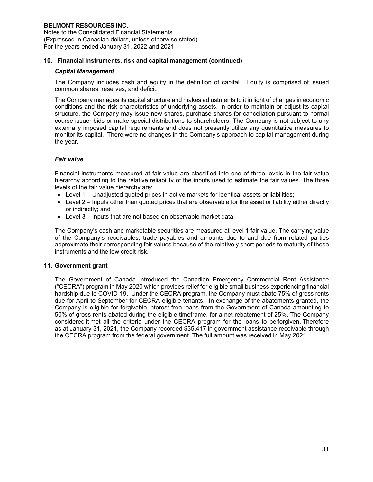### **10. Financial instruments, risk and capital management (continued)**

#### *Capital Management*

The Company includes cash and equity in the definition of capital. Equity is comprised of issued common shares, reserves, and deficit.

The Company manages its capital structure and makes adjustments to it in light of changes in economic conditions and the risk characteristics of underlying assets. In order to maintain or adjust its capital structure, the Company may issue new shares, purchase shares for cancellation pursuant to normal course issuer bids or make special distributions to shareholders. The Company is not subject to any externally imposed capital requirements and does not presently utilize any quantitative measures to monitor its capital. There were no changes in the Company's approach to capital management during the year.

### *Fair value*

Financial instruments measured at fair value are classified into one of three levels in the fair value hierarchy according to the relative reliability of the inputs used to estimate the fair values. The three levels of the fair value hierarchy are:

- Level 1 Unadjusted quoted prices in active markets for identical assets or liabilities;
- Level 2 Inputs other than quoted prices that are observable for the asset or liability either directly or indirectly; and
- Level 3 Inputs that are not based on observable market data.

The Company's cash and marketable securities are measured at level 1 fair value. The carrying value of the Company's receivables, trade payables and amounts due to and due from related parties approximate their corresponding fair values because of the relatively short periods to maturity of these instruments and the low credit risk.

### **11. Government grant**

The Government of Canada introduced the Canadian Emergency Commercial Rent Assistance ("CECRA") program in May 2020 which provides relief for eligible small business experiencing financial hardship due to COVID-19. Under the CECRA program, the Company must abate 75% of gross rents due for April to September for CECRA eligible tenants. In exchange of the abatements granted, the Company is eligible for forgivable interest free loans from the Government of Canada amounting to 50% of gross rents abated during the eligible timeframe, for a net rebatement of 25%. The Company considered it met all the criteria under the CECRA program for the loans to be forgiven. Therefore as at January 31, 2021, the Company recorded \$35,417 in government assistance receivable through the CECRA program from the federal government. The full amount was received in May 2021.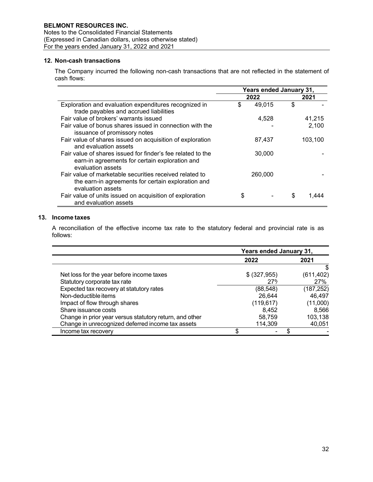Notes to the Consolidated Financial Statements (Expressed in Canadian dollars, unless otherwise stated) For the years ended January 31, 2022 and 2021

### **12. Non-cash transactions**

The Company incurred the following non-cash transactions that are not reflected in the statement of cash flows:

|                                                                                                                                    | <b>Years ended January 31,</b> |         |      |         |
|------------------------------------------------------------------------------------------------------------------------------------|--------------------------------|---------|------|---------|
|                                                                                                                                    |                                | 2022    | 2021 |         |
| Exploration and evaluation expenditures recognized in<br>trade payables and accrued liabilities                                    | \$                             | 49,015  | \$   |         |
| Fair value of brokers' warrants issued                                                                                             |                                | 4,528   |      | 41,215  |
| Fair value of bonus shares issued in connection with the<br>issuance of promissory notes                                           |                                |         |      | 2,100   |
| Fair value of shares issued on acquisition of exploration<br>and evaluation assets                                                 |                                | 87,437  |      | 103,100 |
| Fair value of shares issued for finder's fee related to the<br>earn-in agreements for certain exploration and<br>evaluation assets |                                | 30,000  |      |         |
| Fair value of marketable securities received related to<br>the earn-in agreements for certain exploration and<br>evaluation assets |                                | 260,000 |      |         |
| Fair value of units issued on acquisition of exploration<br>and evaluation assets                                                  | \$                             |         | S    | 1.444   |

## **13. Income taxes**

A reconciliation of the effective income tax rate to the statutory federal and provincial rate is as follows:

|                                                         | Years ended January 31, |               |  |            |
|---------------------------------------------------------|-------------------------|---------------|--|------------|
|                                                         |                         | 2022          |  | 2021       |
|                                                         |                         |               |  | \$         |
| Net loss for the year before income taxes               |                         | \$ (327, 955) |  | (611,402)  |
| Statutory corporate tax rate                            |                         | 27%           |  | 27%        |
| Expected tax recovery at statutory rates                |                         | (88, 548)     |  | (187, 252) |
| Non-deductible items                                    |                         | 26,644        |  | 46,497     |
| Impact of flow through shares                           |                         | (119, 617)    |  | (11,000)   |
| Share issuance costs                                    |                         | 8,452         |  | 8,566      |
| Change in prior year versus statutory return, and other |                         | 58,759        |  | 103,138    |
| Change in unrecognized deferred income tax assets       |                         | 114,309       |  | 40,051     |
| Income tax recovery                                     |                         |               |  |            |